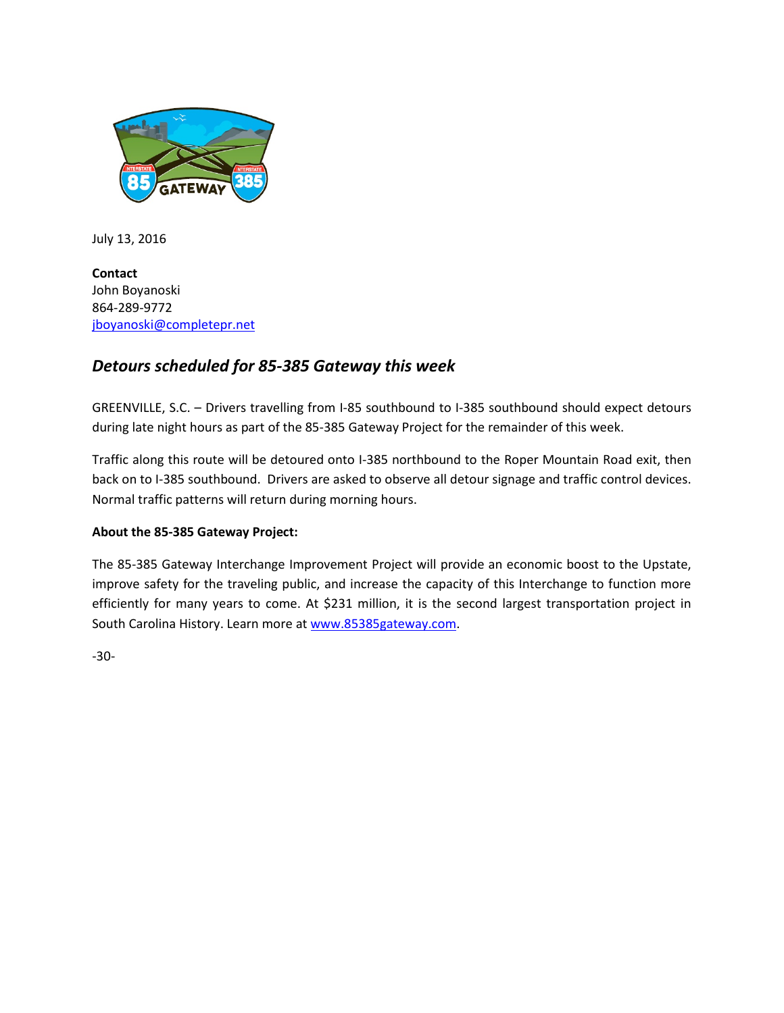

July 13, 2016

**Contact** John Boyanoski 864-289-9772 [jboyanoski@completepr.net](mailto:jboyanoski@completepr.net)

## *Detours scheduled for 85-385 Gateway this week*

GREENVILLE, S.C. – Drivers travelling from I-85 southbound to I-385 southbound should expect detours during late night hours as part of the 85-385 Gateway Project for the remainder of this week.

Traffic along this route will be detoured onto I-385 northbound to the Roper Mountain Road exit, then back on to I-385 southbound. Drivers are asked to observe all detour signage and traffic control devices. Normal traffic patterns will return during morning hours.

## **About the 85-385 Gateway Project:**

The 85-385 Gateway Interchange Improvement Project will provide an economic boost to the Upstate, improve safety for the traveling public, and increase the capacity of this Interchange to function more efficiently for many years to come. At \$231 million, it is the second largest transportation project in South Carolina History. Learn more a[t www.85385gateway.com.](http://www.85385gateway.com/)

-30-